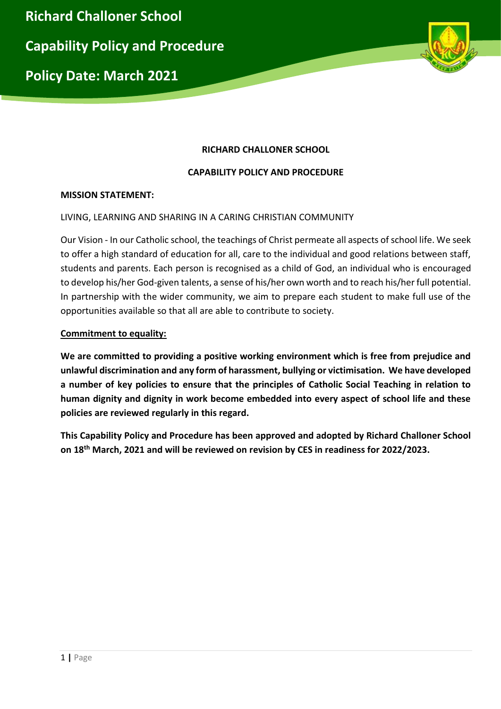

# **RICHARD CHALLONER SCHOOL**

# **CAPABILITY POLICY AND PROCEDURE**

### **MISSION STATEMENT:**

### LIVING, LEARNING AND SHARING IN A CARING CHRISTIAN COMMUNITY

Our Vision - In our Catholic school, the teachings of Christ permeate all aspects of school life. We seek to offer a high standard of education for all, care to the individual and good relations between staff, students and parents. Each person is recognised as a child of God, an individual who is encouraged to develop his/her God-given talents, a sense of his/her own worth and to reach his/her full potential. In partnership with the wider community, we aim to prepare each student to make full use of the opportunities available so that all are able to contribute to society.

### **Commitment to equality:**

**We are committed to providing a positive working environment which is free from prejudice and unlawful discrimination and any form of harassment, bullying or victimisation. We have developed a number of key policies to ensure that the principles of Catholic Social Teaching in relation to human dignity and dignity in work become embedded into every aspect of school life and these policies are reviewed regularly in this regard.**

**This Capability Policy and Procedure has been approved and adopted by Richard Challoner School on 18th March, 2021 and will be reviewed on revision by CES in readiness for 2022/2023.**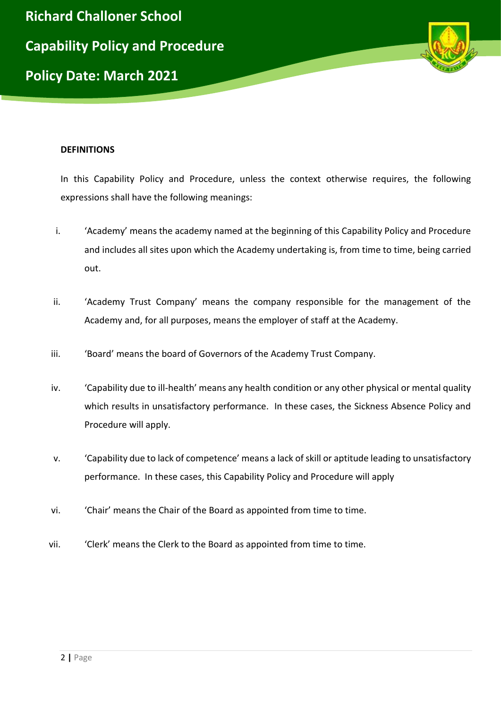

#### **DEFINITIONS**

In this Capability Policy and Procedure, unless the context otherwise requires, the following expressions shall have the following meanings:

- i. 'Academy' means the academy named at the beginning of this Capability Policy and Procedure and includes all sites upon which the Academy undertaking is, from time to time, being carried out.
- ii. 'Academy Trust Company' means the company responsible for the management of the Academy and, for all purposes, means the employer of staff at the Academy.
- iii. 'Soard' means the board of Governors of the Academy Trust Company.
- iv. 'Capability due to ill-health' means any health condition or any other physical or mental quality which results in unsatisfactory performance. In these cases, the Sickness Absence Policy and Procedure will apply.
- v. 'Capability due to lack of competence' means a lack of skill or aptitude leading to unsatisfactory performance. In these cases, this Capability Policy and Procedure will apply
- vi. 'Chair' means the Chair of the Board as appointed from time to time.
- vii. 'Clerk' means the Clerk to the Board as appointed from time to time.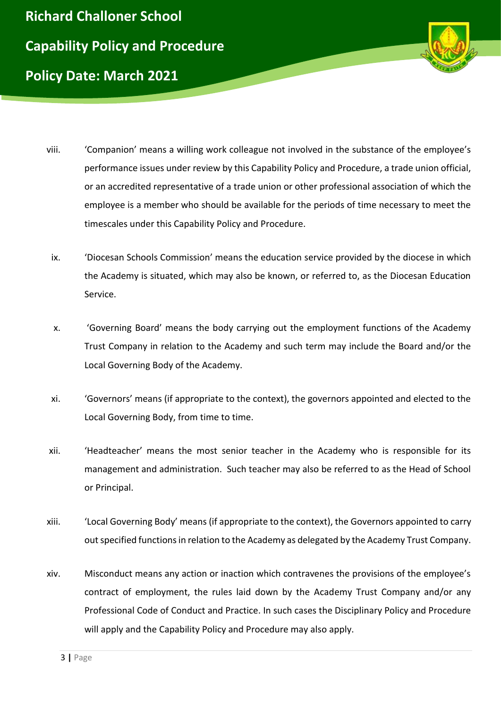



- viii. 'Companion' means a willing work colleague not involved in the substance of the employee's performance issues under review by this Capability Policy and Procedure, a trade union official, or an accredited representative of a trade union or other professional association of which the employee is a member who should be available for the periods of time necessary to meet the timescales under this Capability Policy and Procedure.
	- ix. 'Diocesan Schools Commission' means the education service provided by the diocese in which the Academy is situated, which may also be known, or referred to, as the Diocesan Education Service.
	- x. 'Governing Board' means the body carrying out the employment functions of the Academy Trust Company in relation to the Academy and such term may include the Board and/or the Local Governing Body of the Academy.
- xi. 'Governors' means (if appropriate to the context), the governors appointed and elected to the Local Governing Body, from time to time.
- xii. 'Headteacher' means the most senior teacher in the Academy who is responsible for its management and administration. Such teacher may also be referred to as the Head of School or Principal.
- xiii. 'Local Governing Body' means (if appropriate to the context), the Governors appointed to carry out specified functions in relation to the Academy as delegated by the Academy Trust Company.
- xiv. Misconduct means any action or inaction which contravenes the provisions of the employee's contract of employment, the rules laid down by the Academy Trust Company and/or any Professional Code of Conduct and Practice. In such cases the Disciplinary Policy and Procedure will apply and the Capability Policy and Procedure may also apply.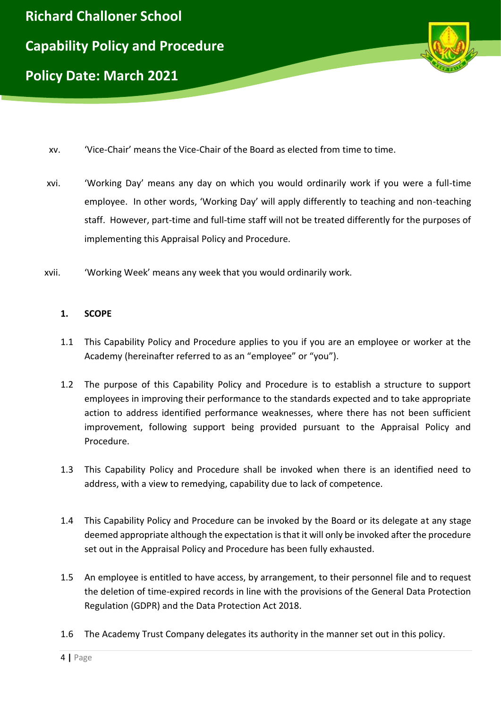

- xv. 'Vice-Chair' means the Vice-Chair of the Board as elected from time to time.
- xvi. 'Working Day' means any day on which you would ordinarily work if you were a full-time employee. In other words, 'Working Day' will apply differently to teaching and non-teaching staff. However, part-time and full-time staff will not be treated differently for the purposes of implementing this Appraisal Policy and Procedure.
- xvii. 'Working Week' means any week that you would ordinarily work.

#### **1. SCOPE**

- 1.1 This Capability Policy and Procedure applies to you if you are an employee or worker at the Academy (hereinafter referred to as an "employee" or "you").
- 1.2 The purpose of this Capability Policy and Procedure is to establish a structure to support employees in improving their performance to the standards expected and to take appropriate action to address identified performance weaknesses, where there has not been sufficient improvement, following support being provided pursuant to the Appraisal Policy and Procedure.
- 1.3 This Capability Policy and Procedure shall be invoked when there is an identified need to address, with a view to remedying, capability due to lack of competence.
- 1.4 This Capability Policy and Procedure can be invoked by the Board or its delegate at any stage deemed appropriate although the expectation is that it will only be invoked after the procedure set out in the Appraisal Policy and Procedure has been fully exhausted.
- 1.5 An employee is entitled to have access, by arrangement, to their personnel file and to request the deletion of time-expired records in line with the provisions of the General Data Protection Regulation (GDPR) and the Data Protection Act 2018.
- 1.6 The Academy Trust Company delegates its authority in the manner set out in this policy.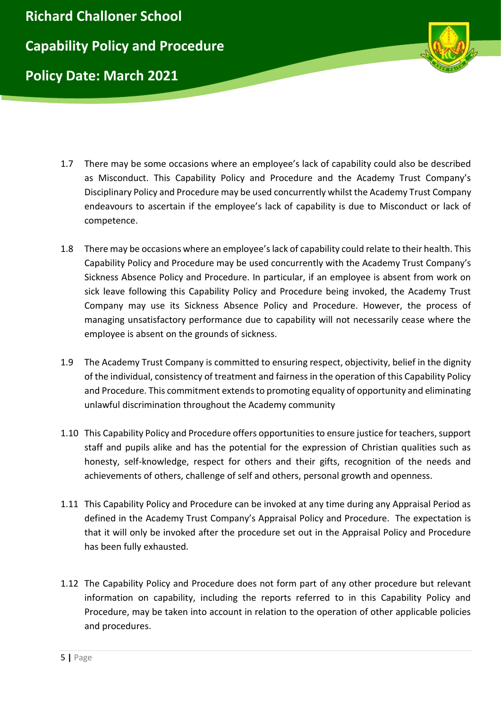



- 1.7 There may be some occasions where an employee's lack of capability could also be described as Misconduct. This Capability Policy and Procedure and the Academy Trust Company's Disciplinary Policy and Procedure may be used concurrently whilst the Academy Trust Company endeavours to ascertain if the employee's lack of capability is due to Misconduct or lack of competence.
- 1.8 There may be occasions where an employee's lack of capability could relate to their health. This Capability Policy and Procedure may be used concurrently with the Academy Trust Company's Sickness Absence Policy and Procedure. In particular, if an employee is absent from work on sick leave following this Capability Policy and Procedure being invoked, the Academy Trust Company may use its Sickness Absence Policy and Procedure. However, the process of managing unsatisfactory performance due to capability will not necessarily cease where the employee is absent on the grounds of sickness.
- 1.9 The Academy Trust Company is committed to ensuring respect, objectivity, belief in the dignity of the individual, consistency of treatment and fairness in the operation of this Capability Policy and Procedure. This commitment extends to promoting equality of opportunity and eliminating unlawful discrimination throughout the Academy community
- 1.10 This Capability Policy and Procedure offers opportunities to ensure justice for teachers, support staff and pupils alike and has the potential for the expression of Christian qualities such as honesty, self-knowledge, respect for others and their gifts, recognition of the needs and achievements of others, challenge of self and others, personal growth and openness.
- 1.11 This Capability Policy and Procedure can be invoked at any time during any Appraisal Period as defined in the Academy Trust Company's Appraisal Policy and Procedure. The expectation is that it will only be invoked after the procedure set out in the Appraisal Policy and Procedure has been fully exhausted.
- 1.12 The Capability Policy and Procedure does not form part of any other procedure but relevant information on capability, including the reports referred to in this Capability Policy and Procedure, may be taken into account in relation to the operation of other applicable policies and procedures.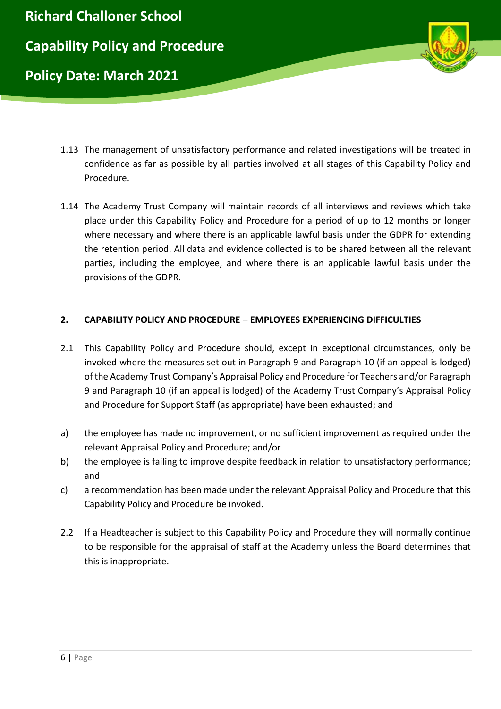

- 1.13 The management of unsatisfactory performance and related investigations will be treated in confidence as far as possible by all parties involved at all stages of this Capability Policy and Procedure.
- 1.14 The Academy Trust Company will maintain records of all interviews and reviews which take place under this Capability Policy and Procedure for a period of up to 12 months or longer where necessary and where there is an applicable lawful basis under the GDPR for extending the retention period. All data and evidence collected is to be shared between all the relevant parties, including the employee, and where there is an applicable lawful basis under the provisions of the GDPR.

### **2. CAPABILITY POLICY AND PROCEDURE – EMPLOYEES EXPERIENCING DIFFICULTIES**

- 2.1 This Capability Policy and Procedure should, except in exceptional circumstances, only be invoked where the measures set out in Paragraph 9 and Paragraph 10 (if an appeal is lodged) of the Academy Trust Company's Appraisal Policy and Procedure for Teachers and/or Paragraph 9 and Paragraph 10 (if an appeal is lodged) of the Academy Trust Company's Appraisal Policy and Procedure for Support Staff (as appropriate) have been exhausted; and
- a) the employee has made no improvement, or no sufficient improvement as required under the relevant Appraisal Policy and Procedure; and/or
- b) the employee is failing to improve despite feedback in relation to unsatisfactory performance; and
- c) a recommendation has been made under the relevant Appraisal Policy and Procedure that this Capability Policy and Procedure be invoked.
- 2.2 If a Headteacher is subject to this Capability Policy and Procedure they will normally continue to be responsible for the appraisal of staff at the Academy unless the Board determines that this is inappropriate.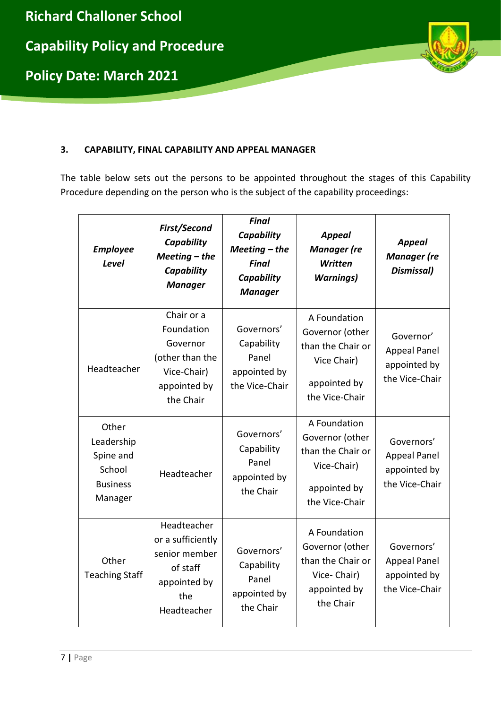

## **3. CAPABILITY, FINAL CAPABILITY AND APPEAL MANAGER**

The table below sets out the persons to be appointed throughout the stages of this Capability Procedure depending on the person who is the subject of the capability proceedings:

| <b>Employee</b><br><b>Level</b>                                          | First/Second<br>Capability<br>$Meeting$ - the<br>Capability<br><b>Manager</b>                       | Final<br>Capability<br>$Meeting$ – the<br><b>Final</b><br>Capability<br><b>Manager</b> | <b>Appeal</b><br><b>Manager</b> (re<br>Written<br><b>Warnings)</b>                                    | <b>Appeal</b><br><b>Manager</b> (re<br>Dismissal)                   |
|--------------------------------------------------------------------------|-----------------------------------------------------------------------------------------------------|----------------------------------------------------------------------------------------|-------------------------------------------------------------------------------------------------------|---------------------------------------------------------------------|
| Headteacher                                                              | Chair or a<br>Foundation<br>Governor<br>(other than the<br>Vice-Chair)<br>appointed by<br>the Chair | Governors'<br>Capability<br>Panel<br>appointed by<br>the Vice-Chair                    | A Foundation<br>Governor (other<br>than the Chair or<br>Vice Chair)<br>appointed by<br>the Vice-Chair | Governor'<br><b>Appeal Panel</b><br>appointed by<br>the Vice-Chair  |
| Other<br>Leadership<br>Spine and<br>School<br><b>Business</b><br>Manager | Headteacher                                                                                         | Governors'<br>Capability<br>Panel<br>appointed by<br>the Chair                         | A Foundation<br>Governor (other<br>than the Chair or<br>Vice-Chair)<br>appointed by<br>the Vice-Chair | Governors'<br><b>Appeal Panel</b><br>appointed by<br>the Vice-Chair |
| Other<br><b>Teaching Staff</b>                                           | Headteacher<br>or a sufficiently<br>senior member<br>of staff<br>appointed by<br>the<br>Headteacher | Governors'<br>Capability<br>Panel<br>appointed by<br>the Chair                         | A Foundation<br>Governor (other<br>than the Chair or<br>Vice-Chair)<br>appointed by<br>the Chair      | Governors'<br><b>Appeal Panel</b><br>appointed by<br>the Vice-Chair |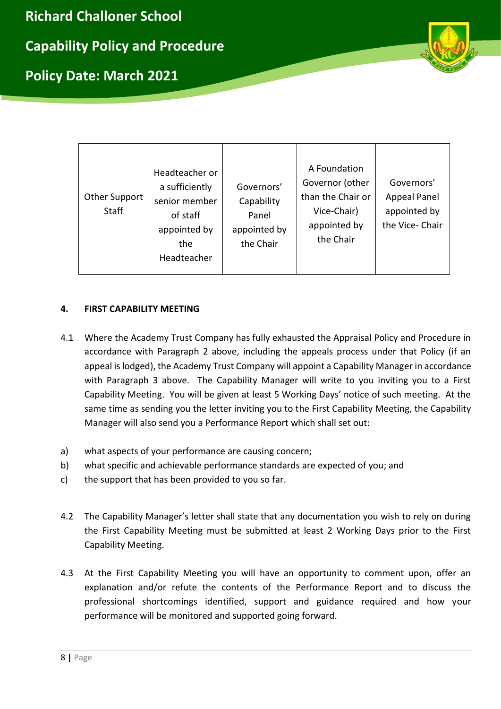**Richard Challoner School**

**Capability Policy and Procedure**

**Policy Date: March 2021**



| <b>Other Support</b><br><b>Staff</b> | Headteacher or<br>a sufficiently<br>senior member<br>of staff<br>appointed by<br>the<br>Headteacher | Governors'<br>Capability<br>Panel<br>appointed by<br>the Chair | A Foundation<br>Governor (other<br>than the Chair or<br>Vice-Chair)<br>appointed by<br>the Chair | Governors'<br><b>Appeal Panel</b><br>appointed by<br>the Vice-Chair |
|--------------------------------------|-----------------------------------------------------------------------------------------------------|----------------------------------------------------------------|--------------------------------------------------------------------------------------------------|---------------------------------------------------------------------|
|--------------------------------------|-----------------------------------------------------------------------------------------------------|----------------------------------------------------------------|--------------------------------------------------------------------------------------------------|---------------------------------------------------------------------|

# **4. FIRST CAPABILITY MEETING**

- 4.1 Where the Academy Trust Company has fully exhausted the Appraisal Policy and Procedure in accordance with Paragraph 2 above, including the appeals process under that Policy (if an appeal is lodged), the Academy Trust Company will appoint a Capability Manager in accordance with Paragraph 3 above. The Capability Manager will write to you inviting you to a First Capability Meeting. You will be given at least 5 Working Days' notice of such meeting. At the same time as sending you the letter inviting you to the First Capability Meeting, the Capability Manager will also send you a Performance Report which shall set out:
- a) what aspects of your performance are causing concern;
- b) what specific and achievable performance standards are expected of you; and
- c) the support that has been provided to you so far.
- 4.2 The Capability Manager's letter shall state that any documentation you wish to rely on during the First Capability Meeting must be submitted at least 2 Working Days prior to the First Capability Meeting.
- 4.3 At the First Capability Meeting you will have an opportunity to comment upon, offer an explanation and/or refute the contents of the Performance Report and to discuss the professional shortcomings identified, support and guidance required and how your performance will be monitored and supported going forward.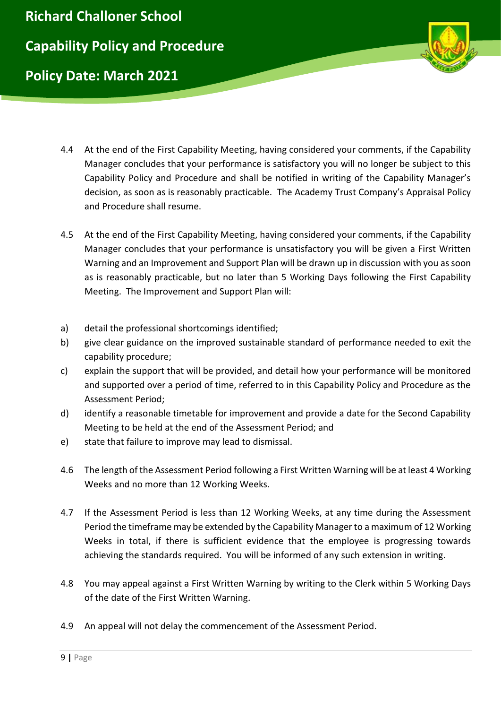

- 4.4 At the end of the First Capability Meeting, having considered your comments, if the Capability Manager concludes that your performance is satisfactory you will no longer be subject to this Capability Policy and Procedure and shall be notified in writing of the Capability Manager's decision, as soon as is reasonably practicable. The Academy Trust Company's Appraisal Policy and Procedure shall resume.
- 4.5 At the end of the First Capability Meeting, having considered your comments, if the Capability Manager concludes that your performance is unsatisfactory you will be given a First Written Warning and an Improvement and Support Plan will be drawn up in discussion with you as soon as is reasonably practicable, but no later than 5 Working Days following the First Capability Meeting. The Improvement and Support Plan will:
- a) detail the professional shortcomings identified;
- b) give clear guidance on the improved sustainable standard of performance needed to exit the capability procedure;
- c) explain the support that will be provided, and detail how your performance will be monitored and supported over a period of time, referred to in this Capability Policy and Procedure as the Assessment Period;
- d) identify a reasonable timetable for improvement and provide a date for the Second Capability Meeting to be held at the end of the Assessment Period; and
- e) state that failure to improve may lead to dismissal.
- 4.6 The length of the Assessment Period following a First Written Warning will be at least 4 Working Weeks and no more than 12 Working Weeks.
- 4.7 If the Assessment Period is less than 12 Working Weeks, at any time during the Assessment Period the timeframe may be extended by the Capability Manager to a maximum of 12 Working Weeks in total, if there is sufficient evidence that the employee is progressing towards achieving the standards required. You will be informed of any such extension in writing.
- 4.8 You may appeal against a First Written Warning by writing to the Clerk within 5 Working Days of the date of the First Written Warning.
- 4.9 An appeal will not delay the commencement of the Assessment Period.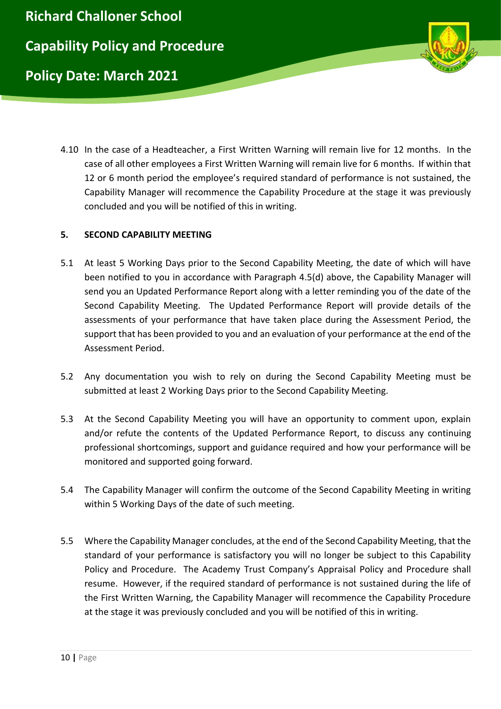

4.10 In the case of a Headteacher, a First Written Warning will remain live for 12 months. In the case of all other employees a First Written Warning will remain live for 6 months. If within that 12 or 6 month period the employee's required standard of performance is not sustained, the Capability Manager will recommence the Capability Procedure at the stage it was previously concluded and you will be notified of this in writing.

# **5. SECOND CAPABILITY MEETING**

- 5.1 At least 5 Working Days prior to the Second Capability Meeting, the date of which will have been notified to you in accordance with Paragraph 4.5(d) above, the Capability Manager will send you an Updated Performance Report along with a letter reminding you of the date of the Second Capability Meeting. The Updated Performance Report will provide details of the assessments of your performance that have taken place during the Assessment Period, the support that has been provided to you and an evaluation of your performance at the end of the Assessment Period.
- 5.2 Any documentation you wish to rely on during the Second Capability Meeting must be submitted at least 2 Working Days prior to the Second Capability Meeting.
- 5.3 At the Second Capability Meeting you will have an opportunity to comment upon, explain and/or refute the contents of the Updated Performance Report, to discuss any continuing professional shortcomings, support and guidance required and how your performance will be monitored and supported going forward.
- 5.4 The Capability Manager will confirm the outcome of the Second Capability Meeting in writing within 5 Working Days of the date of such meeting.
- 5.5 Where the Capability Manager concludes, at the end of the Second Capability Meeting, that the standard of your performance is satisfactory you will no longer be subject to this Capability Policy and Procedure. The Academy Trust Company's Appraisal Policy and Procedure shall resume. However, if the required standard of performance is not sustained during the life of the First Written Warning, the Capability Manager will recommence the Capability Procedure at the stage it was previously concluded and you will be notified of this in writing.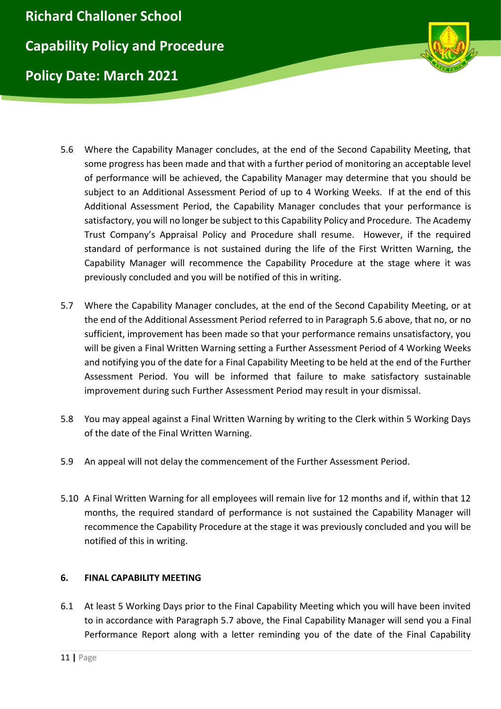

- 5.6 Where the Capability Manager concludes, at the end of the Second Capability Meeting, that some progress has been made and that with a further period of monitoring an acceptable level of performance will be achieved, the Capability Manager may determine that you should be subject to an Additional Assessment Period of up to 4 Working Weeks. If at the end of this Additional Assessment Period, the Capability Manager concludes that your performance is satisfactory, you will no longer be subject to this Capability Policy and Procedure. The Academy Trust Company's Appraisal Policy and Procedure shall resume. However, if the required standard of performance is not sustained during the life of the First Written Warning, the Capability Manager will recommence the Capability Procedure at the stage where it was previously concluded and you will be notified of this in writing.
- 5.7 Where the Capability Manager concludes, at the end of the Second Capability Meeting, or at the end of the Additional Assessment Period referred to in Paragraph 5.6 above, that no, or no sufficient, improvement has been made so that your performance remains unsatisfactory, you will be given a Final Written Warning setting a Further Assessment Period of 4 Working Weeks and notifying you of the date for a Final Capability Meeting to be held at the end of the Further Assessment Period. You will be informed that failure to make satisfactory sustainable improvement during such Further Assessment Period may result in your dismissal.
- 5.8 You may appeal against a Final Written Warning by writing to the Clerk within 5 Working Days of the date of the Final Written Warning.
- 5.9 An appeal will not delay the commencement of the Further Assessment Period.
- 5.10 A Final Written Warning for all employees will remain live for 12 months and if, within that 12 months, the required standard of performance is not sustained the Capability Manager will recommence the Capability Procedure at the stage it was previously concluded and you will be notified of this in writing.

# **6. FINAL CAPABILITY MEETING**

6.1 At least 5 Working Days prior to the Final Capability Meeting which you will have been invited to in accordance with Paragraph 5.7 above, the Final Capability Manager will send you a Final Performance Report along with a letter reminding you of the date of the Final Capability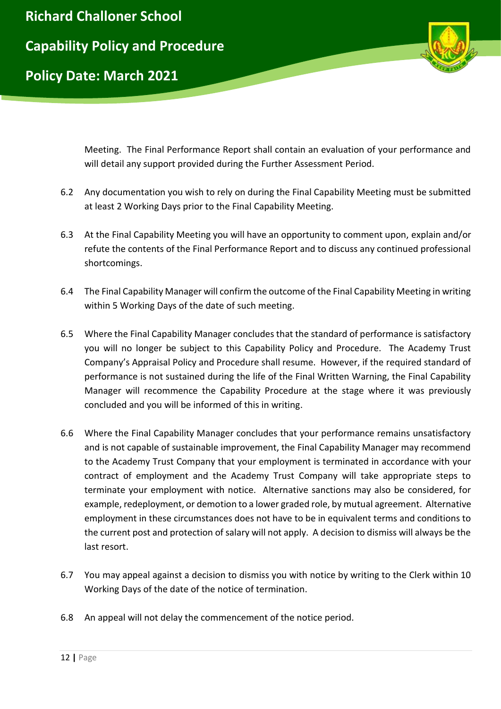

Meeting. The Final Performance Report shall contain an evaluation of your performance and will detail any support provided during the Further Assessment Period.

- 6.2 Any documentation you wish to rely on during the Final Capability Meeting must be submitted at least 2 Working Days prior to the Final Capability Meeting.
- 6.3 At the Final Capability Meeting you will have an opportunity to comment upon, explain and/or refute the contents of the Final Performance Report and to discuss any continued professional shortcomings.
- 6.4 The Final Capability Manager will confirm the outcome of the Final Capability Meeting in writing within 5 Working Days of the date of such meeting.
- 6.5 Where the Final Capability Manager concludes that the standard of performance is satisfactory you will no longer be subject to this Capability Policy and Procedure. The Academy Trust Company's Appraisal Policy and Procedure shall resume. However, if the required standard of performance is not sustained during the life of the Final Written Warning, the Final Capability Manager will recommence the Capability Procedure at the stage where it was previously concluded and you will be informed of this in writing.
- 6.6 Where the Final Capability Manager concludes that your performance remains unsatisfactory and is not capable of sustainable improvement, the Final Capability Manager may recommend to the Academy Trust Company that your employment is terminated in accordance with your contract of employment and the Academy Trust Company will take appropriate steps to terminate your employment with notice. Alternative sanctions may also be considered, for example, redeployment, or demotion to a lower graded role, by mutual agreement. Alternative employment in these circumstances does not have to be in equivalent terms and conditions to the current post and protection of salary will not apply. A decision to dismiss will always be the last resort.
- 6.7 You may appeal against a decision to dismiss you with notice by writing to the Clerk within 10 Working Days of the date of the notice of termination.
- 6.8 An appeal will not delay the commencement of the notice period.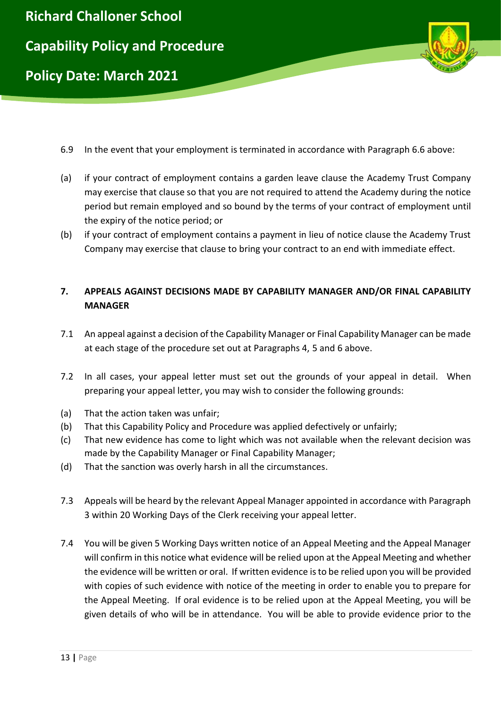

- 6.9 In the event that your employment is terminated in accordance with Paragraph 6.6 above:
- (a) if your contract of employment contains a garden leave clause the Academy Trust Company may exercise that clause so that you are not required to attend the Academy during the notice period but remain employed and so bound by the terms of your contract of employment until the expiry of the notice period; or
- (b) if your contract of employment contains a payment in lieu of notice clause the Academy Trust Company may exercise that clause to bring your contract to an end with immediate effect.

# **7. APPEALS AGAINST DECISIONS MADE BY CAPABILITY MANAGER AND/OR FINAL CAPABILITY MANAGER**

- 7.1 An appeal against a decision of the Capability Manager or Final Capability Manager can be made at each stage of the procedure set out at Paragraphs 4, 5 and 6 above.
- 7.2 In all cases, your appeal letter must set out the grounds of your appeal in detail. When preparing your appeal letter, you may wish to consider the following grounds:
- (a) That the action taken was unfair;
- (b) That this Capability Policy and Procedure was applied defectively or unfairly;
- (c) That new evidence has come to light which was not available when the relevant decision was made by the Capability Manager or Final Capability Manager;
- (d) That the sanction was overly harsh in all the circumstances.
- 7.3 Appeals will be heard by the relevant Appeal Manager appointed in accordance with Paragraph 3 within 20 Working Days of the Clerk receiving your appeal letter.
- 7.4 You will be given 5 Working Days written notice of an Appeal Meeting and the Appeal Manager will confirm in this notice what evidence will be relied upon at the Appeal Meeting and whether the evidence will be written or oral. If written evidence is to be relied upon you will be provided with copies of such evidence with notice of the meeting in order to enable you to prepare for the Appeal Meeting. If oral evidence is to be relied upon at the Appeal Meeting, you will be given details of who will be in attendance. You will be able to provide evidence prior to the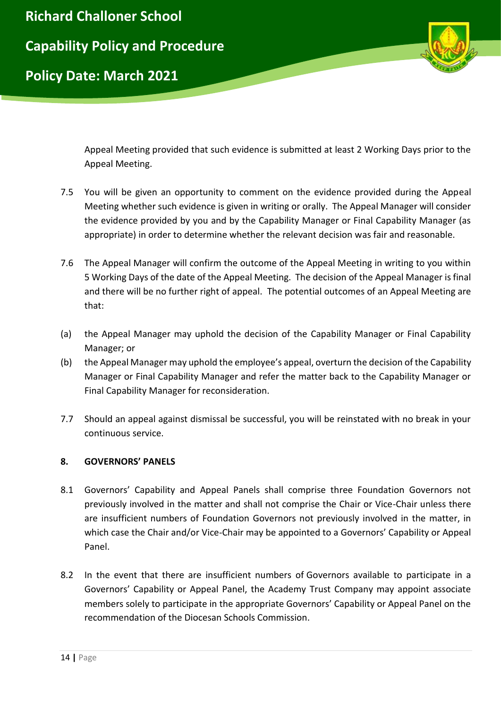

Appeal Meeting provided that such evidence is submitted at least 2 Working Days prior to the Appeal Meeting.

- 7.5 You will be given an opportunity to comment on the evidence provided during the Appeal Meeting whether such evidence is given in writing or orally. The Appeal Manager will consider the evidence provided by you and by the Capability Manager or Final Capability Manager (as appropriate) in order to determine whether the relevant decision was fair and reasonable.
- 7.6 The Appeal Manager will confirm the outcome of the Appeal Meeting in writing to you within 5 Working Days of the date of the Appeal Meeting. The decision of the Appeal Manager is final and there will be no further right of appeal. The potential outcomes of an Appeal Meeting are that:
- (a) the Appeal Manager may uphold the decision of the Capability Manager or Final Capability Manager; or
- (b) the Appeal Manager may uphold the employee's appeal, overturn the decision of the Capability Manager or Final Capability Manager and refer the matter back to the Capability Manager or Final Capability Manager for reconsideration.
- 7.7 Should an appeal against dismissal be successful, you will be reinstated with no break in your continuous service.

# **8. GOVERNORS' PANELS**

- 8.1 Governors' Capability and Appeal Panels shall comprise three Foundation Governors not previously involved in the matter and shall not comprise the Chair or Vice-Chair unless there are insufficient numbers of Foundation Governors not previously involved in the matter, in which case the Chair and/or Vice-Chair may be appointed to a Governors' Capability or Appeal Panel.
- 8.2 In the event that there are insufficient numbers of Governors available to participate in a Governors' Capability or Appeal Panel, the Academy Trust Company may appoint associate members solely to participate in the appropriate Governors' Capability or Appeal Panel on the recommendation of the Diocesan Schools Commission.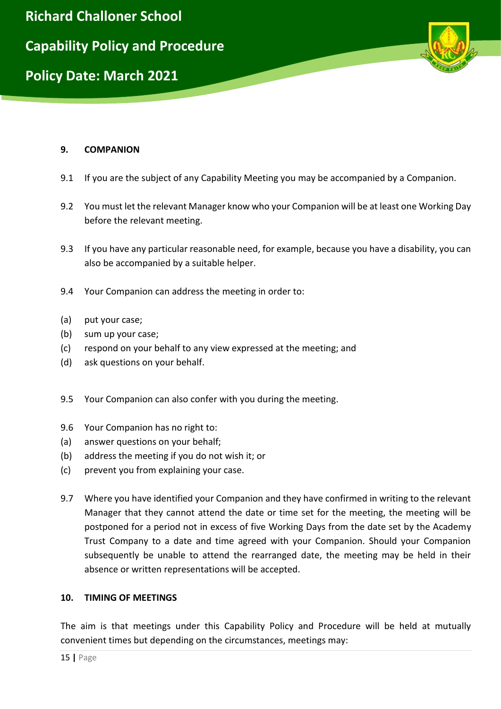

### **9. COMPANION**

- 9.1 If you are the subject of any Capability Meeting you may be accompanied by a Companion.
- 9.2 You must let the relevant Manager know who your Companion will be at least one Working Day before the relevant meeting.
- 9.3 If you have any particular reasonable need, for example, because you have a disability, you can also be accompanied by a suitable helper.
- 9.4 Your Companion can address the meeting in order to:
- (a) put your case;
- (b) sum up your case;
- (c) respond on your behalf to any view expressed at the meeting; and
- (d) ask questions on your behalf.
- 9.5 Your Companion can also confer with you during the meeting.
- 9.6 Your Companion has no right to:
- (a) answer questions on your behalf;
- (b) address the meeting if you do not wish it; or
- (c) prevent you from explaining your case.
- 9.7 Where you have identified your Companion and they have confirmed in writing to the relevant Manager that they cannot attend the date or time set for the meeting, the meeting will be postponed for a period not in excess of five Working Days from the date set by the Academy Trust Company to a date and time agreed with your Companion. Should your Companion subsequently be unable to attend the rearranged date, the meeting may be held in their absence or written representations will be accepted.

#### **10. TIMING OF MEETINGS**

The aim is that meetings under this Capability Policy and Procedure will be held at mutually convenient times but depending on the circumstances, meetings may: